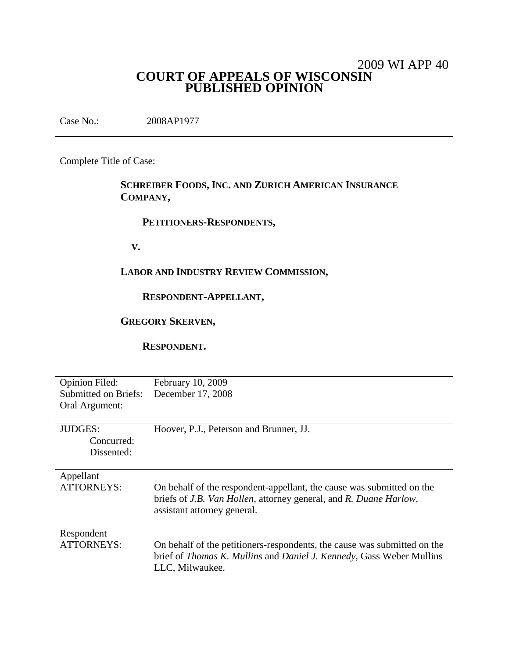# 2009 WI APP 40 **COURT OF APPEALS OF WISCONSIN PUBLISHED OPINION**

Case No.: 2008AP1977

Complete Title of Case:

# **SCHREIBER FOODS, INC. AND ZURICH AMERICAN INSURANCE COMPANY,**

### **PETITIONERS-RESPONDENTS,**

**V.**

# **LABOR AND INDUSTRY REVIEW COMMISSION,**

#### **RESPONDENT-APPELLANT,**

# **GREGORY SKERVEN,**

**RESPONDENT.**

| Opinion Filed:              | February 10, 2009                                                                                                                                                                         |
|-----------------------------|-------------------------------------------------------------------------------------------------------------------------------------------------------------------------------------------|
| <b>Submitted on Briefs:</b> | December 17, 2008                                                                                                                                                                         |
| Oral Argument:              |                                                                                                                                                                                           |
|                             |                                                                                                                                                                                           |
| <b>JUDGES:</b>              | Hoover, P.J., Peterson and Brunner, JJ.                                                                                                                                                   |
| Concurred:                  |                                                                                                                                                                                           |
| Dissented:                  |                                                                                                                                                                                           |
|                             |                                                                                                                                                                                           |
| Appellant                   |                                                                                                                                                                                           |
| <b>ATTORNEYS:</b>           | On behalf of the respondent-appellant, the cause was submitted on the<br>briefs of <i>J.B. Van Hollen</i> , attorney general, and <i>R. Duane Harlow</i> ,<br>assistant attorney general. |
| Respondent                  |                                                                                                                                                                                           |
| <b>ATTORNEYS:</b>           | On behalf of the petitioners-respondents, the cause was submitted on the<br>brief of <i>Thomas K. Mullins</i> and <i>Daniel J. Kennedy</i> , Gass Weber Mullins<br>LLC, Milwaukee.        |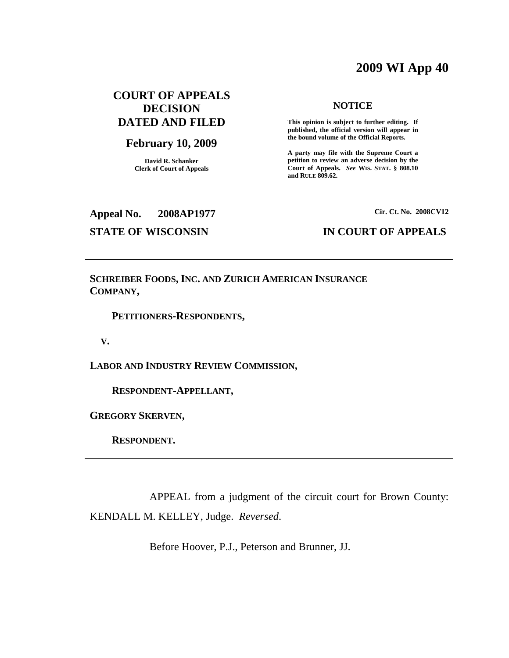# **2009 WI App 40**

# **COURT OF APPEALS DECISION DATED AND FILED**

### **February 10, 2009**

**David R. Schanker Clerk of Court of Appeals**

#### **NOTICE**

**This opinion is subject to further editing. If published, the official version will appear in the bound volume of the Official Reports.**

**A party may file with the Supreme Court a petition to review an adverse decision by the Court of Appeals.** *See* **WIS. STAT. § 808.10 and RULE 809.62.**

**Appeal No. 2008AP1977**

# **Cir. Ct. No. 2008CV12**

**STATE OF WISCONSIN IN COURT OF APPEALS**

**SCHREIBER FOODS, INC. AND ZURICH AMERICAN INSURANCE COMPANY,**

**PETITIONERS-RESPONDENTS,**

**V.**

**LABOR AND INDUSTRY REVIEW COMMISSION,**

**RESPONDENT-APPELLANT,**

**GREGORY SKERVEN,**

**RESPONDENT.**

APPEAL from a judgment of the circuit court for Brown County: KENDALL M. KELLEY, Judge. *Reversed*.

Before Hoover, P.J., Peterson and Brunner, JJ.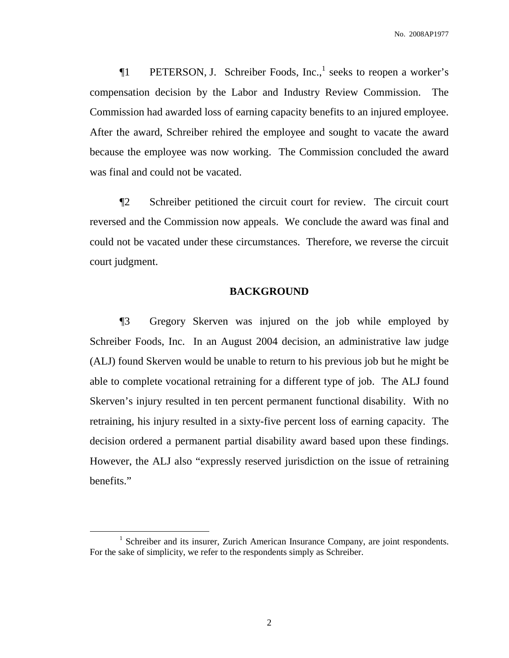**The PETERSON, J. Schreiber Foods, Inc.,** seeks to reopen a worker's compensation decision by the Labor and Industry Review Commission. The Commission had awarded loss of earning capacity benefits to an injured employee. After the award, Schreiber rehired the employee and sought to vacate the award because the employee was now working. The Commission concluded the award was final and could not be vacated.

¶2 Schreiber petitioned the circuit court for review. The circuit court reversed and the Commission now appeals. We conclude the award was final and could not be vacated under these circumstances. Therefore, we reverse the circuit court judgment.

#### **BACKGROUND**

¶3 Gregory Skerven was injured on the job while employed by Schreiber Foods, Inc. In an August 2004 decision, an administrative law judge (ALJ) found Skerven would be unable to return to his previous job but he might be able to complete vocational retraining for a different type of job. The ALJ found Skerven's injury resulted in ten percent permanent functional disability. With no retraining, his injury resulted in a sixty-five percent loss of earning capacity. The decision ordered a permanent partial disability award based upon these findings. However, the ALJ also "expressly reserved jurisdiction on the issue of retraining benefits."

<sup>&</sup>lt;sup>1</sup> Schreiber and its insurer, Zurich American Insurance Company, are joint respondents. For the sake of simplicity, we refer to the respondents simply as Schreiber.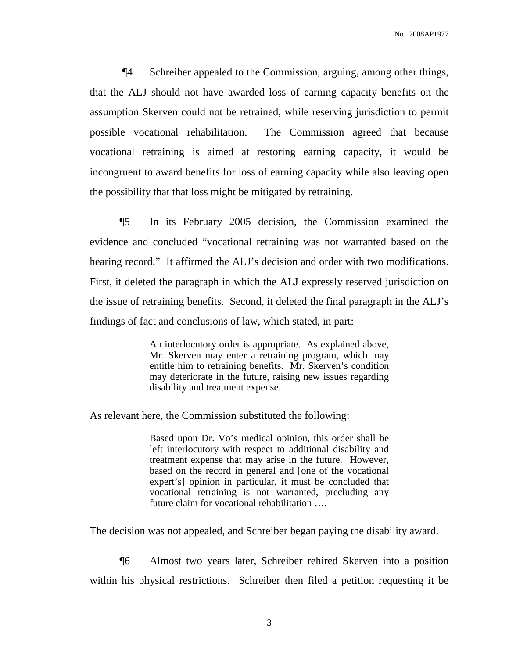¶4 Schreiber appealed to the Commission, arguing, among other things, that the ALJ should not have awarded loss of earning capacity benefits on the assumption Skerven could not be retrained, while reserving jurisdiction to permit possible vocational rehabilitation. The Commission agreed that because vocational retraining is aimed at restoring earning capacity, it would be incongruent to award benefits for loss of earning capacity while also leaving open the possibility that that loss might be mitigated by retraining.

¶5 In its February 2005 decision, the Commission examined the evidence and concluded "vocational retraining was not warranted based on the hearing record." It affirmed the ALJ's decision and order with two modifications. First, it deleted the paragraph in which the ALJ expressly reserved jurisdiction on the issue of retraining benefits. Second, it deleted the final paragraph in the ALJ's findings of fact and conclusions of law, which stated, in part:

> An interlocutory order is appropriate. As explained above, Mr. Skerven may enter a retraining program, which may entitle him to retraining benefits. Mr. Skerven's condition may deteriorate in the future, raising new issues regarding disability and treatment expense.

As relevant here, the Commission substituted the following:

Based upon Dr. Vo's medical opinion, this order shall be left interlocutory with respect to additional disability and treatment expense that may arise in the future. However, based on the record in general and [one of the vocational expert's] opinion in particular, it must be concluded that vocational retraining is not warranted, precluding any future claim for vocational rehabilitation ….

The decision was not appealed, and Schreiber began paying the disability award.

¶6 Almost two years later, Schreiber rehired Skerven into a position within his physical restrictions. Schreiber then filed a petition requesting it be

3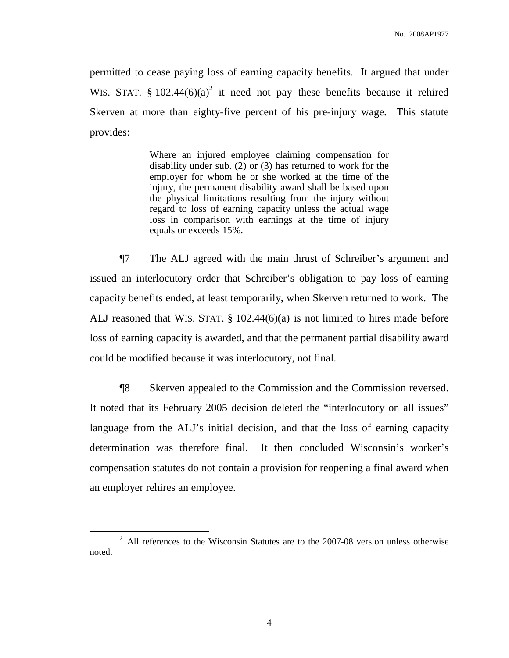permitted to cease paying loss of earning capacity benefits. It argued that under WIS. STAT. § 102.44 $(6)(a)^2$  it need not pay these benefits because it rehired Skerven at more than eighty-five percent of his pre-injury wage. This statute provides:

> Where an injured employee claiming compensation for disability under sub. (2) or (3) has returned to work for the employer for whom he or she worked at the time of the injury, the permanent disability award shall be based upon the physical limitations resulting from the injury without regard to loss of earning capacity unless the actual wage loss in comparison with earnings at the time of injury equals or exceeds 15%.

¶7 The ALJ agreed with the main thrust of Schreiber's argument and issued an interlocutory order that Schreiber's obligation to pay loss of earning capacity benefits ended, at least temporarily, when Skerven returned to work. The ALJ reasoned that WIS. STAT. § 102.44(6)(a) is not limited to hires made before loss of earning capacity is awarded, and that the permanent partial disability award could be modified because it was interlocutory, not final.

¶8 Skerven appealed to the Commission and the Commission reversed. It noted that its February 2005 decision deleted the "interlocutory on all issues" language from the ALJ's initial decision, and that the loss of earning capacity determination was therefore final. It then concluded Wisconsin's worker's compensation statutes do not contain a provision for reopening a final award when an employer rehires an employee.

<sup>&</sup>lt;sup>2</sup> All references to the Wisconsin Statutes are to the 2007-08 version unless otherwise noted.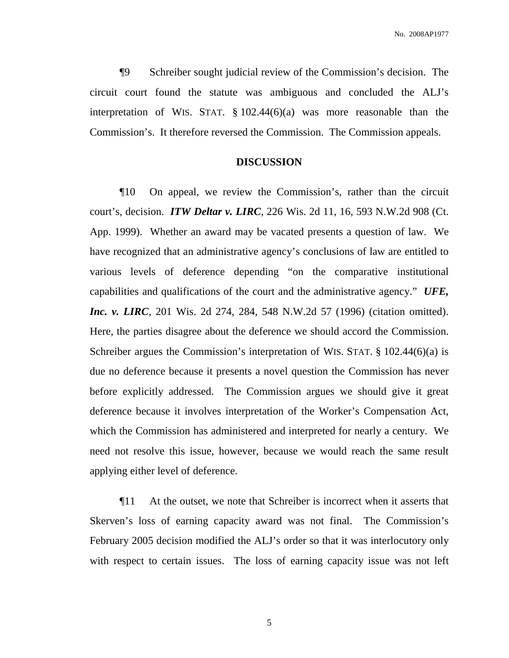¶9 Schreiber sought judicial review of the Commission's decision. The circuit court found the statute was ambiguous and concluded the ALJ's interpretation of WIS. STAT. § 102.44(6)(a) was more reasonable than the Commission's. It therefore reversed the Commission. The Commission appeals.

#### **DISCUSSION**

¶10 On appeal, we review the Commission's, rather than the circuit court's, decision. *ITW Deltar v. LIRC*, 226 Wis. 2d 11, 16, 593 N.W.2d 908 (Ct. App. 1999). Whether an award may be vacated presents a question of law. We have recognized that an administrative agency's conclusions of law are entitled to various levels of deference depending "on the comparative institutional capabilities and qualifications of the court and the administrative agency." *UFE, Inc. v. LIRC*, 201 Wis. 2d 274, 284, 548 N.W.2d 57 (1996) (citation omitted). Here, the parties disagree about the deference we should accord the Commission. Schreiber argues the Commission's interpretation of WIS. STAT. § 102.44(6)(a) is due no deference because it presents a novel question the Commission has never before explicitly addressed. The Commission argues we should give it great deference because it involves interpretation of the Worker's Compensation Act, which the Commission has administered and interpreted for nearly a century. We need not resolve this issue, however, because we would reach the same result applying either level of deference.

¶11 At the outset, we note that Schreiber is incorrect when it asserts that Skerven's loss of earning capacity award was not final. The Commission's February 2005 decision modified the ALJ's order so that it was interlocutory only with respect to certain issues. The loss of earning capacity issue was not left

5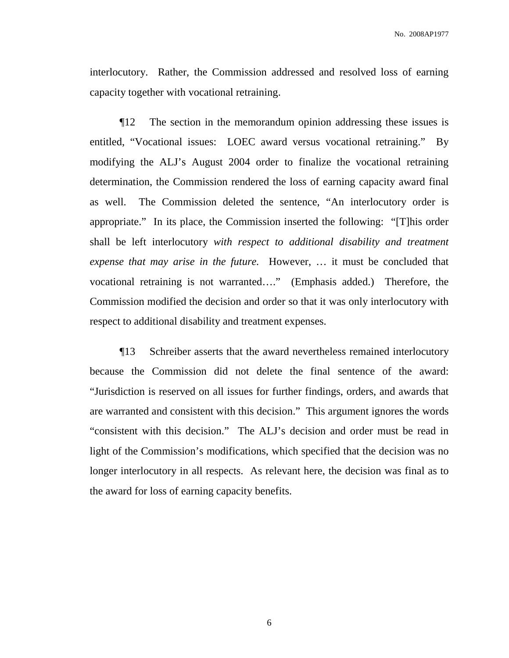interlocutory. Rather, the Commission addressed and resolved loss of earning capacity together with vocational retraining.

¶12 The section in the memorandum opinion addressing these issues is entitled, "Vocational issues: LOEC award versus vocational retraining." By modifying the ALJ's August 2004 order to finalize the vocational retraining determination, the Commission rendered the loss of earning capacity award final as well. The Commission deleted the sentence, "An interlocutory order is appropriate." In its place, the Commission inserted the following: "[T]his order shall be left interlocutory *with respect to additional disability and treatment expense that may arise in the future.* However, … it must be concluded that vocational retraining is not warranted…." (Emphasis added.) Therefore, the Commission modified the decision and order so that it was only interlocutory with respect to additional disability and treatment expenses.

¶13 Schreiber asserts that the award nevertheless remained interlocutory because the Commission did not delete the final sentence of the award: "Jurisdiction is reserved on all issues for further findings, orders, and awards that are warranted and consistent with this decision." This argument ignores the words "consistent with this decision." The ALJ's decision and order must be read in light of the Commission's modifications, which specified that the decision was no longer interlocutory in all respects. As relevant here, the decision was final as to the award for loss of earning capacity benefits.

6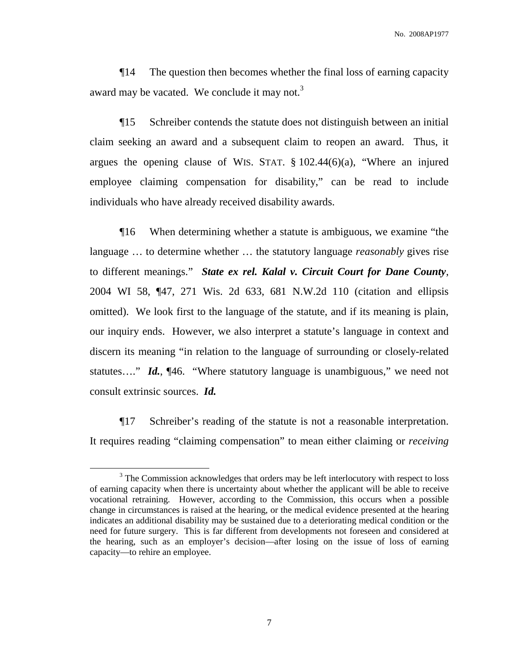¶14 The question then becomes whether the final loss of earning capacity award may be vacated. We conclude it may not.<sup>3</sup>

¶15 Schreiber contends the statute does not distinguish between an initial claim seeking an award and a subsequent claim to reopen an award. Thus, it argues the opening clause of WIS. STAT. § 102.44(6)(a), "Where an injured employee claiming compensation for disability," can be read to include individuals who have already received disability awards.

¶16 When determining whether a statute is ambiguous, we examine "the language … to determine whether … the statutory language *reasonably* gives rise to different meanings." *State ex rel. Kalal v. Circuit Court for Dane County*, 2004 WI 58, ¶47, 271 Wis. 2d 633, 681 N.W.2d 110 (citation and ellipsis omitted). We look first to the language of the statute, and if its meaning is plain, our inquiry ends. However, we also interpret a statute's language in context and discern its meaning "in relation to the language of surrounding or closely-related statutes…." *Id.*, ¶46. "Where statutory language is unambiguous," we need not consult extrinsic sources. *Id.*

¶17 Schreiber's reading of the statute is not a reasonable interpretation. It requires reading "claiming compensation" to mean either claiming or *receiving*

<sup>&</sup>lt;sup>3</sup> The Commission acknowledges that orders may be left interlocutory with respect to loss of earning capacity when there is uncertainty about whether the applicant will be able to receive vocational retraining. However, according to the Commission, this occurs when a possible change in circumstances is raised at the hearing, or the medical evidence presented at the hearing indicates an additional disability may be sustained due to a deteriorating medical condition or the need for future surgery. This is far different from developments not foreseen and considered at the hearing, such as an employer's decision—after losing on the issue of loss of earning capacity—to rehire an employee.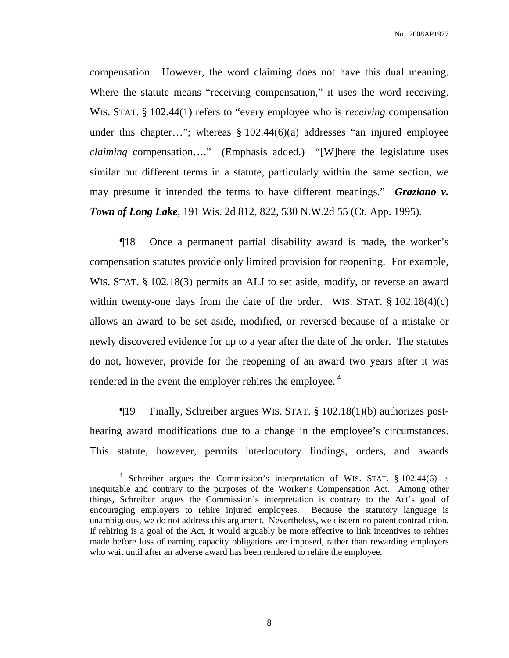compensation. However, the word claiming does not have this dual meaning. Where the statute means "receiving compensation," it uses the word receiving. WIS. STAT. § 102.44(1) refers to "every employee who is *receiving* compensation under this chapter…"; whereas  $\S 102.44(6)(a)$  addresses "an injured employee *claiming* compensation…." (Emphasis added.) "[W]here the legislature uses similar but different terms in a statute, particularly within the same section, we may presume it intended the terms to have different meanings." *Graziano v. Town of Long Lake*, 191 Wis. 2d 812, 822, 530 N.W.2d 55 (Ct. App. 1995).

¶18 Once a permanent partial disability award is made, the worker's compensation statutes provide only limited provision for reopening. For example, WIS. STAT. § 102.18(3) permits an ALJ to set aside, modify, or reverse an award within twenty-one days from the date of the order. WIS. STAT.  $\S 102.18(4)(c)$ allows an award to be set aside, modified, or reversed because of a mistake or newly discovered evidence for up to a year after the date of the order. The statutes do not, however, provide for the reopening of an award two years after it was rendered in the event the employer rehires the employee.<sup>4</sup>

¶19 Finally, Schreiber argues WIS. STAT. § 102.18(1)(b) authorizes posthearing award modifications due to a change in the employee's circumstances. This statute, however, permits interlocutory findings, orders, and awards

<sup>4</sup> Schreiber argues the Commission's interpretation of WIS. STAT. § 102.44(6) is inequitable and contrary to the purposes of the Worker's Compensation Act. Among other things, Schreiber argues the Commission's interpretation is contrary to the Act's goal of encouraging employers to rehire injured employees. Because the statutory language is unambiguous, we do not address this argument. Nevertheless, we discern no patent contradiction. If rehiring is a goal of the Act, it would arguably be more effective to link incentives to rehires made before loss of earning capacity obligations are imposed, rather than rewarding employers who wait until after an adverse award has been rendered to rehire the employee.